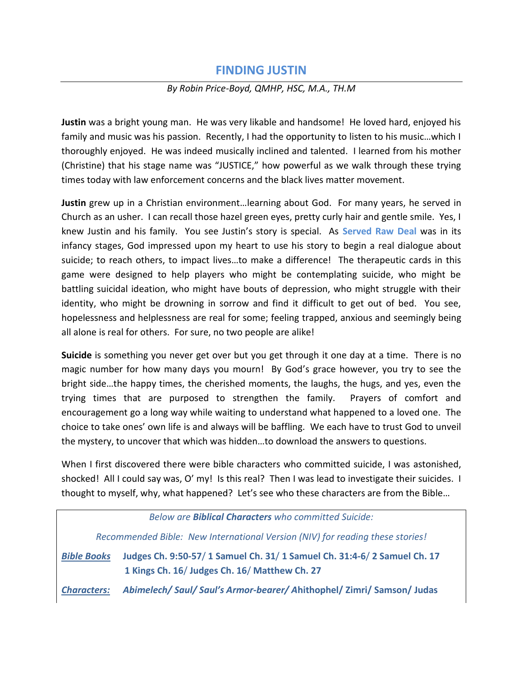## **FINDING JUSTIN**

## *By Robin Price-Boyd, QMHP, HSC, M.A., TH.M*

**Justin** was a bright young man. He was very likable and handsome! He loved hard, enjoyed his family and music was his passion. Recently, I had the opportunity to listen to his music…which I thoroughly enjoyed. He was indeed musically inclined and talented. I learned from his mother (Christine) that his stage name was "JUSTICE," how powerful as we walk through these trying times today with law enforcement concerns and the black lives matter movement.

**Justin** grew up in a Christian environment…learning about God. For many years, he served in Church as an usher. I can recall those hazel green eyes, pretty curly hair and gentle smile. Yes, I knew Justin and his family. You see Justin's story is special. As **Served Raw Deal** was in its infancy stages, God impressed upon my heart to use his story to begin a real dialogue about suicide; to reach others, to impact lives…to make a difference! The therapeutic cards in this game were designed to help players who might be contemplating suicide, who might be battling suicidal ideation, who might have bouts of depression, who might struggle with their identity, who might be drowning in sorrow and find it difficult to get out of bed. You see, hopelessness and helplessness are real for some; feeling trapped, anxious and seemingly being all alone is real for others. For sure, no two people are alike!

**Suicide** is something you never get over but you get through it one day at a time. There is no magic number for how many days you mourn! By God's grace however, you try to see the bright side…the happy times, the cherished moments, the laughs, the hugs, and yes, even the trying times that are purposed to strengthen the family. Prayers of comfort and encouragement go a long way while waiting to understand what happened to a loved one. The choice to take ones' own life is and always will be baffling. We each have to trust God to unveil the mystery, to uncover that which was hidden…to download the answers to questions.

When I first discovered there were bible characters who committed suicide, I was astonished, shocked! All I could say was, O' my! Is this real? Then I was lead to investigate their suicides. I thought to myself, why, what happened? Let's see who these characters are from the Bible…

| Below are <b>Biblical Characters</b> who committed Suicide:                   |                                                                                                                         |
|-------------------------------------------------------------------------------|-------------------------------------------------------------------------------------------------------------------------|
| Recommended Bible: New International Version (NIV) for reading these stories! |                                                                                                                         |
| <b>Bible Books</b>                                                            | Judges Ch. 9:50-57/1 Samuel Ch. 31/1 Samuel Ch. 31:4-6/2 Samuel Ch. 17<br>1 Kings Ch. 16/ Judges Ch. 16/ Matthew Ch. 27 |
| <b>Characters:</b>                                                            | Abimelech/Saul/Saul's Armor-bearer/Ahithophel/Zimri/Samson/Judas                                                        |